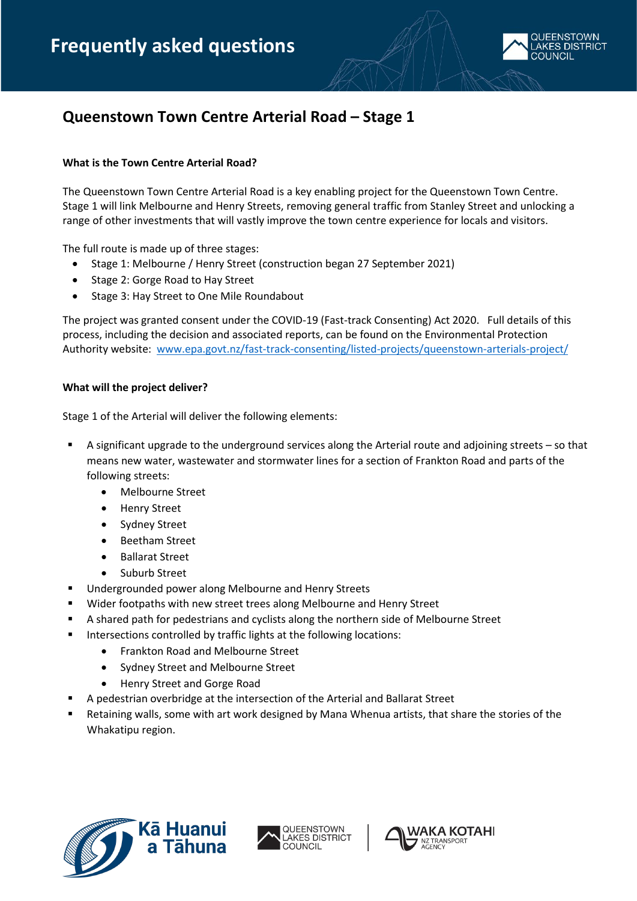

# **Queenstown Town Centre Arterial Road – Stage 1**

# **What is the Town Centre Arterial Road?**

The Queenstown Town Centre Arterial Road is a key enabling project for the Queenstown Town Centre. Stage 1 will link Melbourne and Henry Streets, removing general traffic from Stanley Street and unlocking a range of other investments that will vastly improve the town centre experience for locals and visitors.

The full route is made up of three stages:

- Stage 1: Melbourne / Henry Street (construction began 27 September 2021)
- Stage 2: Gorge Road to Hay Street
- Stage 3: Hay Street to One Mile Roundabout

The project was granted consent under the COVID-19 (Fast-track Consenting) Act 2020. Full details of this process, including the decision and associated reports, can be found on the Environmental Protection Authority website: [www.epa.govt.nz/fast-track-consenting/listed-projects/queenstown-arterials-project/](http://www.epa.govt.nz/fast-track-consenting/listed-projects/queenstown-arterials-project/)

# **What will the project deliver?**

Stage 1 of the Arterial will deliver the following elements:

- A significant upgrade to the underground services along the Arterial route and adjoining streets so that means new water, wastewater and stormwater lines for a section of Frankton Road and parts of the following streets:
	- Melbourne Street
	- Henry Street
	- Sydney Street
	- Beetham Street
	- Ballarat Street
	- Suburb Street
- Undergrounded power along Melbourne and Henry Streets
- Wider footpaths with new street trees along Melbourne and Henry Street
- A shared path for pedestrians and cyclists along the northern side of Melbourne Street
- Intersections controlled by traffic lights at the following locations:
	- Frankton Road and Melbourne Street
	- Sydney Street and Melbourne Street
	- Henry Street and Gorge Road
- A pedestrian overbridge at the intersection of the Arterial and Ballarat Street
- Retaining walls, some with art work designed by Mana Whenua artists, that share the stories of the Whakatipu region.





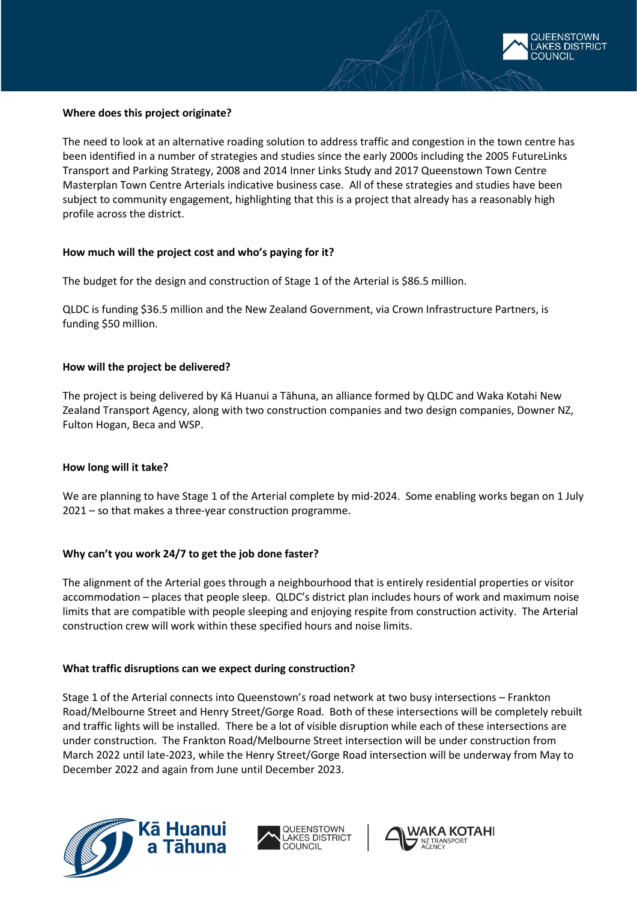

## **Where does this project originate?**

The need to look at an alternative roading solution to address traffic and congestion in the town centre has been identified in a number of strategies and studies since the early 2000s including the 2005 FutureLinks Transport and Parking Strategy, 2008 and 2014 Inner Links Study and 2017 Queenstown Town Centre Masterplan Town Centre Arterials indicative business case. All of these strategies and studies have been subject to community engagement, highlighting that this is a project that already has a reasonably high profile across the district.

## **How much will the project cost and who's paying for it?**

The budget for the design and construction of Stage 1 of the Arterial is \$86.5 million.

QLDC is funding \$36.5 million and the New Zealand Government, via Crown Infrastructure Partners, is funding \$50 million.

## **How will the project be delivered?**

The project is being delivered by Kā Huanui a Tāhuna, an alliance formed by QLDC and Waka Kotahi New Zealand Transport Agency, along with two construction companies and two design companies, Downer NZ, Fulton Hogan, Beca and WSP.

# **How long will it take?**

We are planning to have Stage 1 of the Arterial complete by mid-2024. Some enabling works began on 1 July 2021 – so that makes a three-year construction programme.

# **Why can't you work 24/7 to get the job done faster?**

The alignment of the Arterial goes through a neighbourhood that is entirely residential properties or visitor accommodation – places that people sleep. QLDC's district plan includes hours of work and maximum noise limits that are compatible with people sleeping and enjoying respite from construction activity. The Arterial construction crew will work within these specified hours and noise limits.

#### **What traffic disruptions can we expect during construction?**

Stage 1 of the Arterial connects into Queenstown's road network at two busy intersections – Frankton Road/Melbourne Street and Henry Street/Gorge Road. Both of these intersections will be completely rebuilt and traffic lights will be installed. There be a lot of visible disruption while each of these intersections are under construction. The Frankton Road/Melbourne Street intersection will be under construction from March 2022 until late-2023, while the Henry Street/Gorge Road intersection will be underway from May to December 2022 and again from June until December 2023.





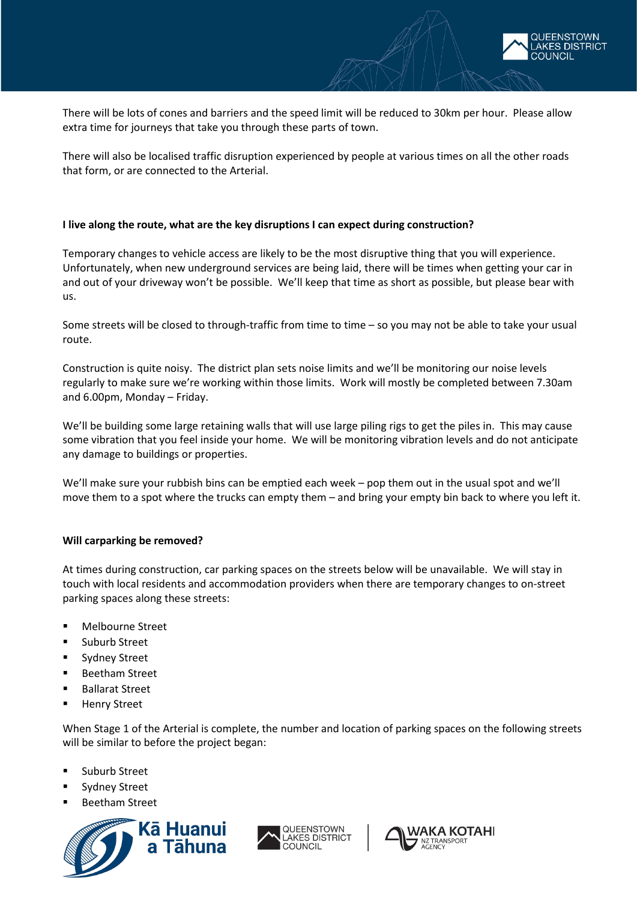

There will be lots of cones and barriers and the speed limit will be reduced to 30km per hour. Please allow extra time for journeys that take you through these parts of town.

There will also be localised traffic disruption experienced by people at various times on all the other roads that form, or are connected to the Arterial.

## **I live along the route, what are the key disruptions I can expect during construction?**

Temporary changes to vehicle access are likely to be the most disruptive thing that you will experience. Unfortunately, when new underground services are being laid, there will be times when getting your car in and out of your driveway won't be possible. We'll keep that time as short as possible, but please bear with us.

Some streets will be closed to through-traffic from time to time – so you may not be able to take your usual route.

Construction is quite noisy. The district plan sets noise limits and we'll be monitoring our noise levels regularly to make sure we're working within those limits. Work will mostly be completed between 7.30am and 6.00pm, Monday – Friday.

We'll be building some large retaining walls that will use large piling rigs to get the piles in. This may cause some vibration that you feel inside your home. We will be monitoring vibration levels and do not anticipate any damage to buildings or properties.

We'll make sure your rubbish bins can be emptied each week – pop them out in the usual spot and we'll move them to a spot where the trucks can empty them – and bring your empty bin back to where you left it.

# **Will carparking be removed?**

At times during construction, car parking spaces on the streets below will be unavailable. We will stay in touch with local residents and accommodation providers when there are temporary changes to on-street parking spaces along these streets:

- **Melbourne Street**
- **Suburb Street**
- **Sydney Street**
- Beetham Street
- Ballarat Street
- **Henry Street**

When Stage 1 of the Arterial is complete, the number and location of parking spaces on the following streets will be similar to before the project began:

- Suburb Street
- Sydney Street
- Beetham Street





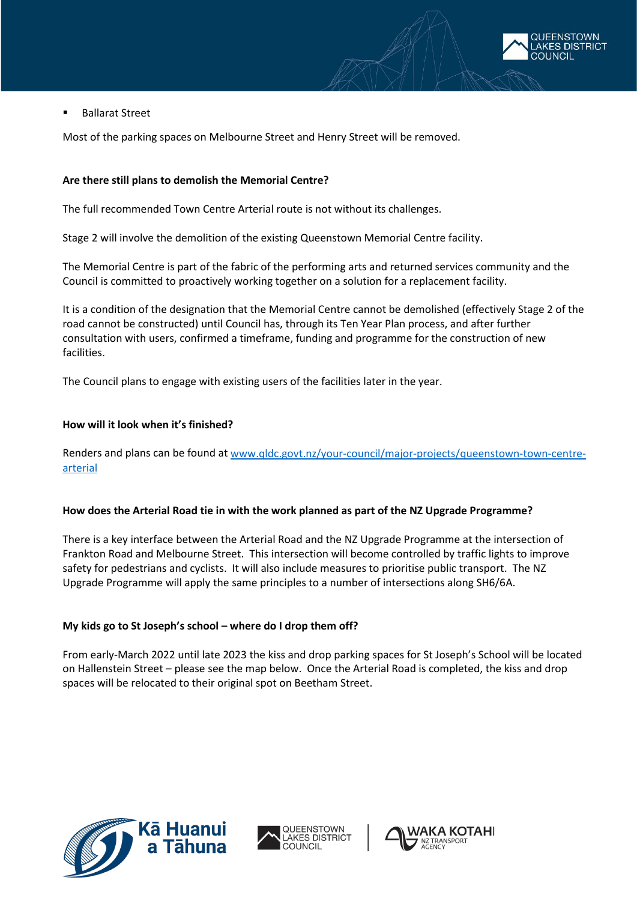

Ballarat Street

Most of the parking spaces on Melbourne Street and Henry Street will be removed.

## **Are there still plans to demolish the Memorial Centre?**

The full recommended Town Centre Arterial route is not without its challenges.

Stage 2 will involve the demolition of the existing Queenstown Memorial Centre facility.

The Memorial Centre is part of the fabric of the performing arts and returned services community and the Council is committed to proactively working together on a solution for a replacement facility.

It is a condition of the designation that the Memorial Centre cannot be demolished (effectively Stage 2 of the road cannot be constructed) until Council has, through its Ten Year Plan process, and after further consultation with users, confirmed a timeframe, funding and programme for the construction of new facilities.

The Council plans to engage with existing users of the facilities later in the year.

## **How will it look when it's finished?**

Renders and plans can be found a[t www.qldc.govt.nz/your-council/major-projects/queenstown-town-centre](http://www.qldc.govt.nz/your-council/major-projects/queenstown-town-centre-arterial)[arterial](http://www.qldc.govt.nz/your-council/major-projects/queenstown-town-centre-arterial)

#### **How does the Arterial Road tie in with the work planned as part of the NZ Upgrade Programme?**

There is a key interface between the Arterial Road and the NZ Upgrade Programme at the intersection of Frankton Road and Melbourne Street. This intersection will become controlled by traffic lights to improve safety for pedestrians and cyclists. It will also include measures to prioritise public transport. The NZ Upgrade Programme will apply the same principles to a number of intersections along SH6/6A.

# **My kids go to St Joseph's school – where do I drop them off?**

From early-March 2022 until late 2023 the kiss and drop parking spaces for St Joseph's School will be located on Hallenstein Street – please see the map below. Once the Arterial Road is completed, the kiss and drop spaces will be relocated to their original spot on Beetham Street.





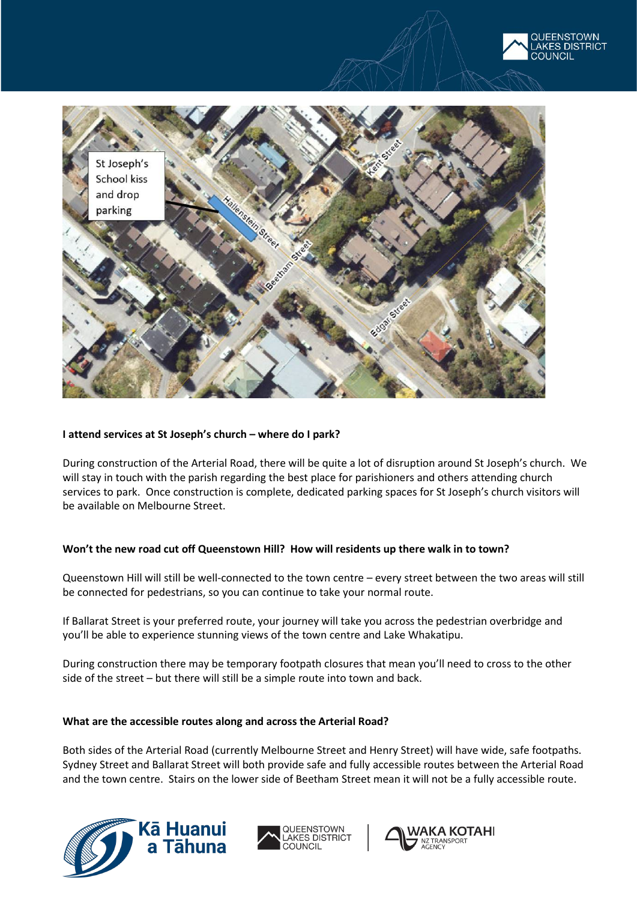



# **I attend services at St Joseph's church – where do I park?**

During construction of the Arterial Road, there will be quite a lot of disruption around St Joseph's church. We will stay in touch with the parish regarding the best place for parishioners and others attending church services to park. Once construction is complete, dedicated parking spaces for St Joseph's church visitors will be available on Melbourne Street.

#### **Won't the new road cut off Queenstown Hill? How will residents up there walk in to town?**

Queenstown Hill will still be well-connected to the town centre – every street between the two areas will still be connected for pedestrians, so you can continue to take your normal route.

If Ballarat Street is your preferred route, your journey will take you across the pedestrian overbridge and you'll be able to experience stunning views of the town centre and Lake Whakatipu.

During construction there may be temporary footpath closures that mean you'll need to cross to the other side of the street – but there will still be a simple route into town and back.

#### **What are the accessible routes along and across the Arterial Road?**

Both sides of the Arterial Road (currently Melbourne Street and Henry Street) will have wide, safe footpaths. Sydney Street and Ballarat Street will both provide safe and fully accessible routes between the Arterial Road and the town centre. Stairs on the lower side of Beetham Street mean it will not be a fully accessible route.